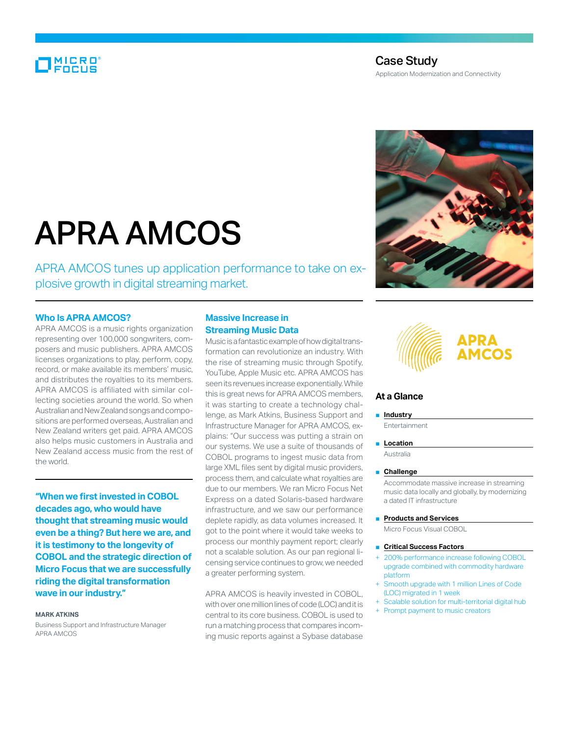# MICRO<br>FOCUS

# Case Study Application Modernization and Connectivity

# APRA AMCOS

APRA AMCOS tunes up application performance to take on explosive growth in digital streaming market.

### **Who Is APRA AMCOS?**

APRA AMCOS is a music rights organization representing over 100,000 songwriters, composers and music publishers. APRA AMCOS licenses organizations to play, perform, copy, record, or make available its members' music, and distributes the royalties to its members. APRA AMCOS is affiliated with similar collecting societies around the world. So when Australian and New Zealand songs and compositions are performed overseas, Australian and New Zealand writers get paid. APRA AMCOS also helps music customers in Australia and New Zealand access music from the rest of the world.

**"When we first invested in COBOL decades ago, who would have thought that streaming music would even be a thing? But here we are, and it is testimony to the longevity of COBOL and the strategic direction of Micro Focus that we are successfully riding the digital transformation wave in our industry."**

#### **Mark Atkins**

Business Support and Infrastructure Manager APRA AMCOS

# **Massive Increase in Streaming Music Data**

Music is a fantastic example of how digital transformation can revolutionize an industry. With the rise of streaming music through Spotify, YouTube, Apple Music etc. APRA AMCOS has seen its revenues increase exponentially. While this is great news for APRA AMCOS members, it was starting to create a technology challenge, as Mark Atkins, Business Support and Infrastructure Manager for APRA AMCOS, explains: "Our success was putting a strain on our systems. We use a suite of thousands of COBOL programs to ingest music data from large XML files sent by digital music providers, process them, and calculate what royalties are due to our members. We ran Micro Focus Net Express on a dated Solaris-based hardware infrastructure, and we saw our performance deplete rapidly, as data volumes increased. It got to the point where it would take weeks to process our monthly payment report; clearly not a scalable solution. As our pan regional licensing service continues to grow, we needed a greater performing system.

APRA AMCOS is heavily invested in COBOL, with over one million lines of code (LOC) and it is central to its core business. COBOL is used to run a matching process that compares incoming music reports against a Sybase database



# **At a Glance**

# ■ **Industry**

Entertainment

■ **Location** Australia

#### ■ Challenge

Accommodate massive increase in streaming music data locally and globally, by modernizing a dated IT infrastructure

■ **Products and Services**

Micro Focus Visual COBOL

#### **Critical Success Factors**

- 200% performance increase following COBOL upgrade combined with commodity hardware platform
- Smooth upgrade with 1 million Lines of Code (LOC) migrated in 1 week
- + Scalable solution for multi-territorial digital hub
- + Prompt payment to music creators